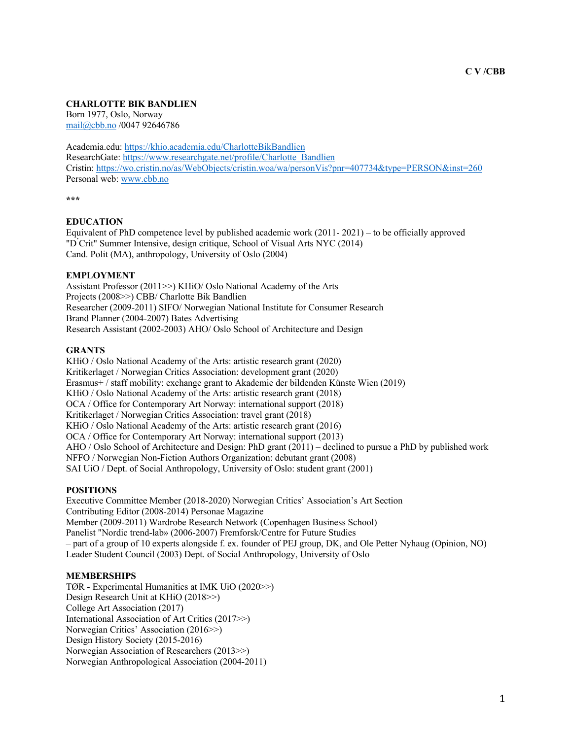# **CHARLOTTE BIK BANDLIEN**

Born 1977, Oslo, Norway mail@cbb.no /0047 92646786

Academia.edu: https://khio.academia.edu/CharlotteBikBandlien ResearchGate: https://www.researchgate.net/profile/Charlotte\_Bandlien Cristin: https://wo.cristin.no/as/WebObjects/cristin.woa/wa/personVis?pnr=407734&type=PERSON&inst=260 Personal web: www.cbb.no

**\*\*\***

## **EDUCATION**

Equivalent of PhD competence level by published academic work (2011- 2021) – to be officially approved "D ́Crit" Summer Intensive, design critique, School of Visual Arts NYC (2014) Cand. Polit (MA), anthropology, University of Oslo (2004)

## **EMPLOYMENT**

Assistant Professor (2011>>) KHiO/ Oslo National Academy of the Arts Projects (2008>>) CBB/ Charlotte Bik Bandlien Researcher (2009-2011) SIFO/ Norwegian National Institute for Consumer Research Brand Planner (2004-2007) Bates Advertising Research Assistant (2002-2003) AHO/ Oslo School of Architecture and Design

## **GRANTS**

KHiO / Oslo National Academy of the Arts: artistic research grant (2020) Kritikerlaget / Norwegian Critics Association: development grant (2020) Erasmus+ / staff mobility: exchange grant to Akademie der bildenden Künste Wien (2019) KHiO / Oslo National Academy of the Arts: artistic research grant (2018) OCA / Office for Contemporary Art Norway: international support (2018) Kritikerlaget / Norwegian Critics Association: travel grant (2018) KHiO / Oslo National Academy of the Arts: artistic research grant (2016) OCA / Office for Contemporary Art Norway: international support (2013) AHO / Oslo School of Architecture and Design: PhD grant (2011) – declined to pursue a PhD by published work NFFO / Norwegian Non-Fiction Authors Organization: debutant grant (2008) SAI UiO / Dept. of Social Anthropology, University of Oslo: student grant (2001)

## **POSITIONS**

Executive Committee Member (2018-2020) Norwegian Critics' Association's Art Section Contributing Editor (2008-2014) Personae Magazine Member (2009-2011) Wardrobe Research Network (Copenhagen Business School) Panelist "Nordic trend-lab» (2006-2007) Fremforsk/Centre for Future Studies – part of a group of 10 experts alongside f. ex. founder of PEJ group, DK, and Ole Petter Nyhaug (Opinion, NO) Leader Student Council (2003) Dept. of Social Anthropology, University of Oslo

## **MEMBERSHIPS**

TØR - Experimental Humanities at IMK UiO (2020>>) Design Research Unit at KHiO (2018>>) College Art Association (2017) International Association of Art Critics (2017>>) Norwegian Critics' Association (2016>>) Design History Society (2015-2016) Norwegian Association of Researchers (2013>>) Norwegian Anthropological Association (2004-2011)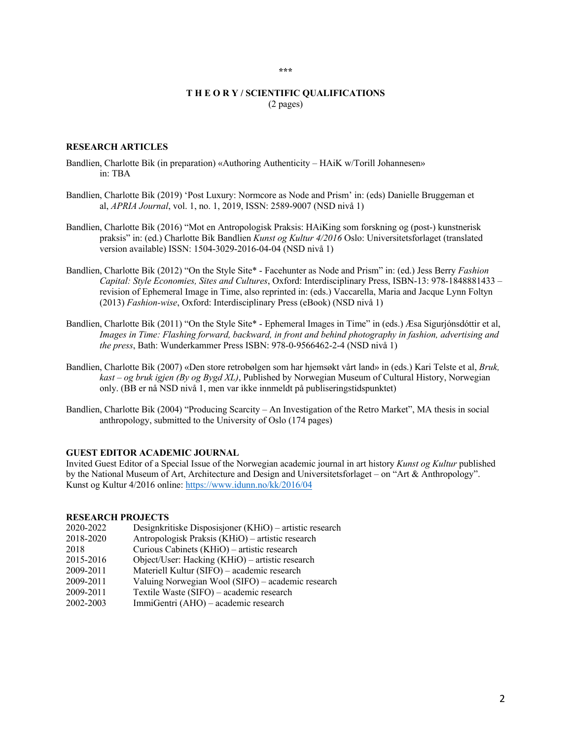## **T H E O R Y / SCIENTIFIC QUALIFICATIONS** (2 pages)

#### **RESEARCH ARTICLES**

- Bandlien, Charlotte Bik (in preparation) «Authoring Authenticity HAiK w/Torill Johannesen» in: TBA
- Bandlien, Charlotte Bik (2019) 'Post Luxury: Normcore as Node and Prism' in: (eds) Danielle Bruggeman et al, *APRIA Journal*, vol. 1, no. 1, 2019, ISSN: 2589-9007 (NSD nivå 1)
- Bandlien, Charlotte Bik (2016) "Mot en Antropologisk Praksis: HAiKing som forskning og (post-) kunstnerisk praksis" in: (ed.) Charlotte Bik Bandlien *Kunst og Kultur 4/2016* Oslo: Universitetsforlaget (translated version available) ISSN: 1504-3029-2016-04-04 (NSD nivå 1)
- Bandlien, Charlotte Bik (2012) "On the Style Site\* Facehunter as Node and Prism" in: (ed.) Jess Berry *Fashion Capital: Style Economies, Sites and Cultures*, Oxford: Interdisciplinary Press, ISBN-13: 978-1848881433 – revision of Ephemeral Image in Time, also reprinted in: (eds.) Vaccarella, Maria and Jacque Lynn Foltyn (2013) *Fashion-wise*, Oxford: Interdisciplinary Press (eBook) (NSD nivå 1)
- Bandlien, Charlotte Bik (2011) "On the Style Site\* Ephemeral Images in Time" in (eds.) Æsa Sigurjónsdóttir et al, *Images in Time: Flashing forward, backward, in front and behind photography in fashion, advertising and the press*, Bath: Wunderkammer Press ISBN: 978-0-9566462-2-4 (NSD nivå 1)
- Bandlien, Charlotte Bik (2007) «Den store retrobølgen som har hjemsøkt vårt land» in (eds.) Kari Telste et al, *Bruk, kast – og bruk igjen (By og Bygd XL)*, Published by Norwegian Museum of Cultural History, Norwegian only. (BB er nå NSD nivå 1, men var ikke innmeldt på publiseringstidspunktet)
- Bandlien, Charlotte Bik (2004) "Producing Scarcity An Investigation of the Retro Market", MA thesis in social anthropology, submitted to the University of Oslo (174 pages)

## **GUEST EDITOR ACADEMIC JOURNAL**

Invited Guest Editor of a Special Issue of the Norwegian academic journal in art history *Kunst og Kultur* published by the National Museum of Art, Architecture and Design and Universitetsforlaget – on "Art & Anthropology". Kunst og Kultur 4/2016 online: https://www.idunn.no/kk/2016/04

#### **RESEARCH PROJECTS**

2020-2022 Designkritiske Disposisjoner (KHiO) – artistic research 2018-2020 Antropologisk Praksis (KHiO) – artistic research 2018 Curious Cabinets (KHiO) – artistic research 2015-2016 Object/User: Hacking (KHiO) – artistic research 2009-2011 Materiell Kultur (SIFO) – academic research 2009-2011 Valuing Norwegian Wool (SIFO) – academic research 2009-2011 Textile Waste (SIFO) – academic research<br>2002-2003 ImmiGentri (AHO) – academic research ImmiGentri (AHO) – academic research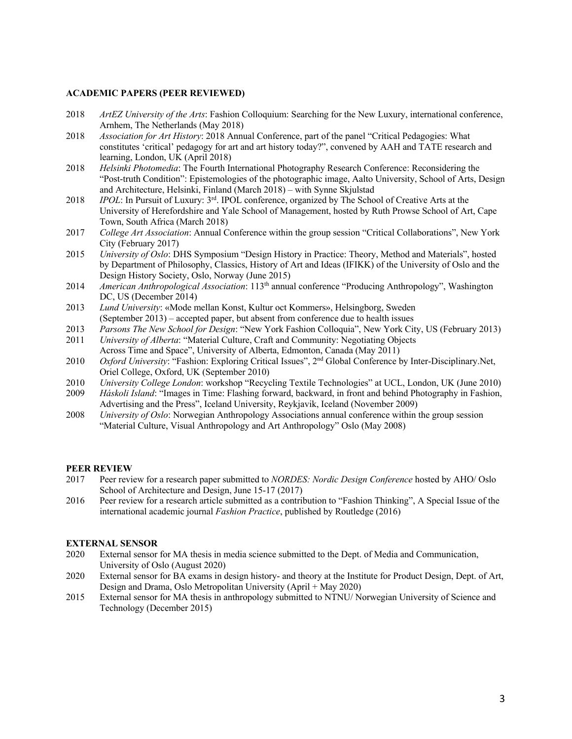## **ACADEMIC PAPERS (PEER REVIEWED)**

- 2018 *ArtEZ University of the Arts*: Fashion Colloquium: Searching for the New Luxury, international conference, Arnhem, The Netherlands (May 2018)
- 2018 *Association for Art History*: 2018 Annual Conference, part of the panel "Critical Pedagogies: What constitutes 'critical' pedagogy for art and art history today?", convened by AAH and TATE research and learning, London, UK (April 2018)
- 2018 *Helsinki Photomedia*: The Fourth International Photography Research Conference: Reconsidering the "Post-truth Condition": Epistemologies of the photographic image, Aalto University, School of Arts, Design and Architecture, Helsinki, Finland (March 2018) – with Synne Skjulstad
- 2018 *IPOL*: In Pursuit of Luxury: 3rd. IPOL conference, organized by The School of Creative Arts at the University of Herefordshire and Yale School of Management, hosted by Ruth Prowse School of Art, Cape Town, South Africa (March 2018)
- 2017 *College Art Association*: Annual Conference within the group session "Critical Collaborations", New York City (February 2017)
- 2015 *University of Oslo*: DHS Symposium "Design History in Practice: Theory, Method and Materials", hosted by Department of Philosophy, Classics, History of Art and Ideas (IFIKK) of the University of Oslo and the Design History Society, Oslo, Norway (June 2015)
- 2014 *American Anthropological Association*: 113th annual conference "Producing Anthropology", Washington DC, US (December 2014)
- 2013 *Lund University*: «Mode mellan Konst, Kultur oct Kommers», Helsingborg, Sweden (September 2013) – accepted paper, but absent from conference due to health issues
- 2013 *Parsons The New School for Design*: "New York Fashion Colloquia", New York City, US (February 2013)
- 2011 *University of Alberta*: "Material Culture, Craft and Community: Negotiating Objects Across Time and Space", University of Alberta, Edmonton, Canada (May 2011)
- 2010 *Oxford University:* "Fashion: Exploring Critical Issues", 2<sup>nd</sup> Global Conference by Inter-Disciplinary.Net, Oriel College, Oxford, UK (September 2010)
- 2010 *University College London*: workshop "Recycling Textile Technologies" at UCL, London, UK (June 2010)
- 2009 *Háskoli Island*: "Images in Time: Flashing forward, backward, in front and behind Photography in Fashion, Advertising and the Press", Iceland University, Reykjavik, Iceland (November 2009)
- 2008 *University of Oslo*: Norwegian Anthropology Associations annual conference within the group session "Material Culture, Visual Anthropology and Art Anthropology" Oslo (May 2008)

## **PEER REVIEW**

- 2017 Peer review for a research paper submitted to *NORDES: Nordic Design Conference* hosted by AHO/ Oslo School of Architecture and Design, June 15-17 (2017)
- 2016 Peer review for a research article submitted as a contribution to "Fashion Thinking", A Special Issue of the international academic journal *Fashion Practice*, published by Routledge (2016)

## **EXTERNAL SENSOR**

- 2020 External sensor for MA thesis in media science submitted to the Dept. of Media and Communication, University of Oslo (August 2020)
- 2020 External sensor for BA exams in design history- and theory at the Institute for Product Design, Dept. of Art, Design and Drama, Oslo Metropolitan University (April + May 2020)
- 2015 External sensor for MA thesis in anthropology submitted to NTNU/ Norwegian University of Science and Technology (December 2015)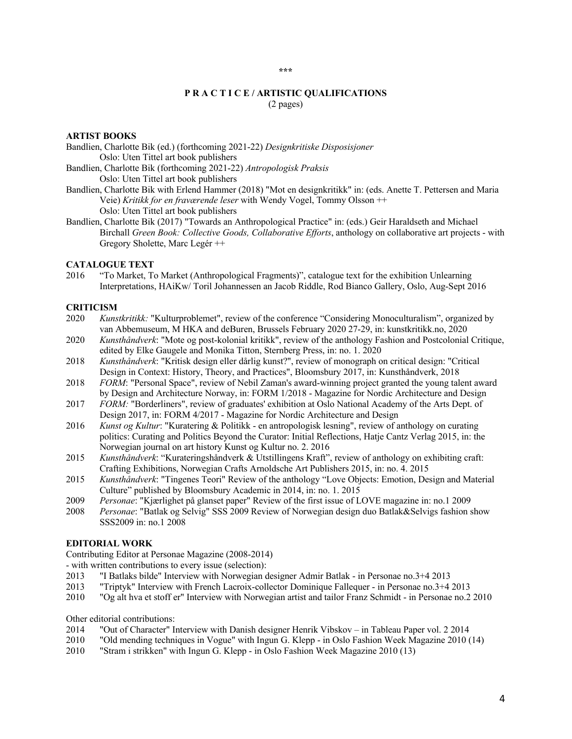## **P R A C T I C E / ARTISTIC QUALIFICATIONS** (2 pages)

## **ARTIST BOOKS**

Bandlien, Charlotte Bik (ed.) (forthcoming 2021-22) *Designkritiske Disposisjoner* Oslo: Uten Tittel art book publishers

Bandlien, Charlotte Bik (forthcoming 2021-22) *Antropologisk Praksis* Oslo: Uten Tittel art book publishers

- Bandlien, Charlotte Bik with Erlend Hammer (2018) "Mot en designkritikk" in: (eds. Anette T. Pettersen and Maria Veie) *Kritikk for en fraværende leser* with Wendy Vogel, Tommy Olsson ++ Oslo: Uten Tittel art book publishers
- Bandlien, Charlotte Bik (2017) "Towards an Anthropological Practice" in: (eds.) Geir Haraldseth and Michael Birchall *Green Book: Collective Goods, Collaborative Efforts*, anthology on collaborative art projects - with Gregory Sholette, Marc Legér ++

## **CATALOGUE TEXT**

2016 "To Market, To Market (Anthropological Fragments)", catalogue text for the exhibition Unlearning Interpretations, HAiKw/ Toril Johannessen an Jacob Riddle, Rod Bianco Gallery, Oslo, Aug-Sept 2016

## **CRITICISM**

- 2020 *Kunstkritikk:* "Kulturproblemet", review of the conference "Considering Monoculturalism", organized by van Abbemuseum, M HKA and deBuren, Brussels February 2020 27-29, in: kunstkritikk.no, 2020
- 2020 *Kunsthåndverk*: "Mote og post-kolonial kritikk", review of the anthology Fashion and Postcolonial Critique, edited by Elke Gaugele and Monika Titton, Sternberg Press, in: no. 1. 2020
- 2018 *Kunsthåndverk*: "Kritisk design eller dårlig kunst?", review of monograph on critical design: "Critical Design in Context: History, Theory, and Practices", Bloomsbury 2017, in: Kunsthåndverk, 2018
- 2018 *FORM*: "Personal Space", review of Nebil Zaman's award-winning project granted the young talent award by Design and Architecture Norway, in: FORM 1/2018 - Magazine for Nordic Architecture and Design
- 2017 *FORM:* "Borderliners", review of graduates' exhibition at Oslo National Academy of the Arts Dept. of Design 2017, in: FORM 4/2017 - Magazine for Nordic Architecture and Design
- 2016 *Kunst og Kultur*: "Kuratering & Politikk en antropologisk lesning", review of anthology on curating politics: Curating and Politics Beyond the Curator: Initial Reflections, Hatje Cantz Verlag 2015, in: the Norwegian journal on art history Kunst og Kultur no. 2. 2016
- 2015 *Kunsthåndverk*: "Kurateringshåndverk & Utstillingens Kraft", review of anthology on exhibiting craft: Crafting Exhibitions, Norwegian Crafts Arnoldsche Art Publishers 2015, in: no. 4. 2015
- 2015 *Kunsthåndverk*: "Tingenes Teori" Review of the anthology "Love Objects: Emotion, Design and Material Culture" published by Bloomsbury Academic in 2014, in: no. 1. 2015
- 2009 *Personae*: "Kjærlighet på glanset paper" Review of the first issue of LOVE magazine in: no.1 2009
- 2008 *Personae*: "Batlak og Selvig" SSS 2009 Review of Norwegian design duo Batlak&Selvigs fashion show SSS2009 in: no.1 2008

## **EDITORIAL WORK**

Contributing Editor at Personae Magazine (2008-2014)

- with written contributions to every issue (selection):
- 2013 "I Batlaks bilde" Interview with Norwegian designer Admir Batlak in Personae no.3+4 2013
- 2013 "Triptyk" Interview with French Lacroix-collector Dominique Fallequer in Personae no.3+4 2013
- 2010 "Og alt hva et stoff er" Interview with Norwegian artist and tailor Franz Schmidt in Personae no.2 2010

Other editorial contributions:

- 2014 "Out of Character" Interview with Danish designer Henrik Vibskov in Tableau Paper vol. 2 2014
- 2010 "Old mending techniques in Vogue" with Ingun G. Klepp in Oslo Fashion Week Magazine 2010 (14)
- 2010 "Stram i strikken" with Ingun G. Klepp in Oslo Fashion Week Magazine 2010 (13)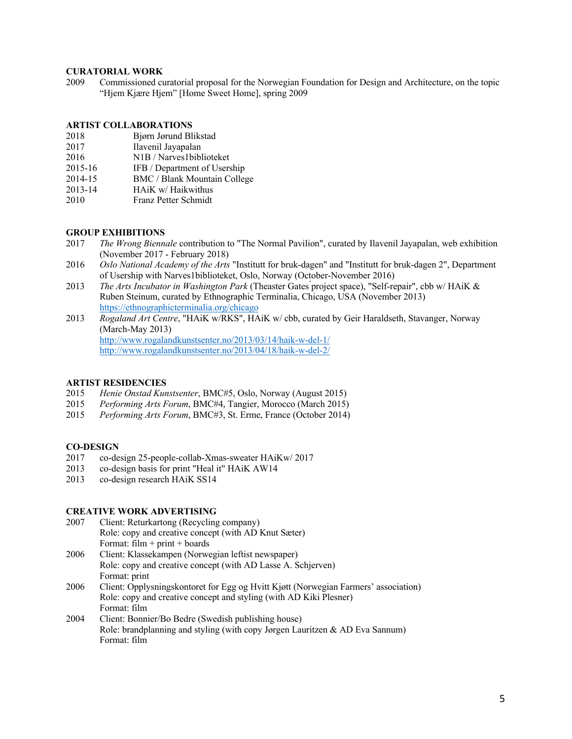## **CURATORIAL WORK**

2009 Commissioned curatorial proposal for the Norwegian Foundation for Design and Architecture, on the topic "Hjem Kjære Hjem" [Home Sweet Home], spring 2009

## **ARTIST COLLABORATIONS**

- 2018 Bjørn Jørund Blikstad
- 2017 Ilavenil Jayapalan
- 2016 N1B / Narves1biblioteket
- 2015-16 IFB / Department of Usership
- 2014-15 BMC / Blank Mountain College
- 2013-14 HAiK w/ Haikwithus
- 2010 Franz Petter Schmidt

## **GROUP EXHIBITIONS**

- 2017 *The Wrong Biennale* contribution to "The Normal Pavilion", curated by Ilavenil Jayapalan, web exhibition (November 2017 - February 2018)
- 2016 *Oslo National Academy of the Arts* "Institutt for bruk-dagen" and "Institutt for bruk-dagen 2", Department of Usership with Narves1biblioteket, Oslo, Norway (October-November 2016)
- 2013 *The Arts Incubator in Washington Park* (Theaster Gates ́project space), "Self-repair", cbb w/ HAiK & Ruben Steinum, curated by Ethnographic Terminalia, Chicago, USA (November 2013) https://ethnographicterminalia.org/chicago
- 2013 *Rogaland Art Centre*, "HAiK w/RKS", HAiK w/ cbb, curated by Geir Haraldseth, Stavanger, Norway (March-May 2013) http://www.rogalandkunstsenter.no/2013/03/14/haik-w-del-1/ http://www.rogalandkunstsenter.no/2013/04/18/haik-w-del-2/

# **ARTIST RESIDENCIES**

- 2015 *Henie Onstad Kunstsenter*, BMC#5, Oslo, Norway (August 2015)
- 2015 *Performing Arts Forum*, BMC#4, Tangier, Morocco (March 2015)
- 2015 *Performing Arts Forum*, BMC#3, St. Erme, France (October 2014)

## **CO-DESIGN**

- 2017 co-design 25-people-collab-Xmas-sweater HAiKw/ 2017
- 2013 co-design basis for print "Heal it" HAiK AW14
- 2013 co-design research HAiK SS14

## **CREATIVE WORK ADVERTISING**

- 2007 Client: Returkartong (Recycling company) Role: copy and creative concept (with AD Knut Sæter) Format:  $film + print + boards$
- 2006 Client: Klassekampen (Norwegian leftist newspaper) Role: copy and creative concept (with AD Lasse A. Schjerven) Format: print
- 2006 Client: Opplysningskontoret for Egg og Hvitt Kjøtt (Norwegian Farmers' association) Role: copy and creative concept and styling (with AD Kiki Plesner) Format: film
- 2004 Client: Bonnier/Bo Bedre (Swedish publishing house) Role: brandplanning and styling (with copy Jørgen Lauritzen & AD Eva Sannum) Format: film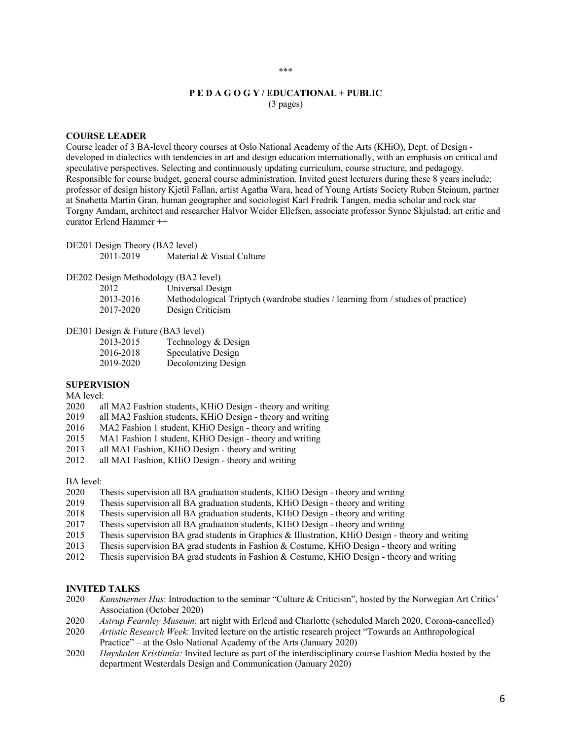## **P E D A G O G Y / EDUCATIONAL + PUBLIC** (3 pages)

## **COURSE LEADER**

Course leader of 3 BA-level theory courses at Oslo National Academy of the Arts (KHiO), Dept. of Design developed in dialectics with tendencies in art and design education internationally, with an emphasis on critical and speculative perspectives. Selecting and continuously updating curriculum, course structure, and pedagogy. Responsible for course budget, general course administration. Invited guest lecturers during these 8 years include: professor of design history Kjetil Fallan, artist Agatha Wara, head of Young Artists Society Ruben Steinum, partner at Snøhetta Martin Gran, human geographer and sociologist Karl Fredrik Tangen, media scholar and rock star Torgny Amdam, architect and researcher Halvor Weider Ellefsen, associate professor Synne Skjulstad, art critic and curator Erlend Hammer ++

| DE201 Design Theory (BA2 level) |                           |
|---------------------------------|---------------------------|
| 2011-2019                       | Material & Visual Culture |

# DE202 Design Methodology (BA2 level)

- 2012 Universal Design
	- 2013-2016 Methodological Triptych (wardrobe studies / learning from / studies of practice)
	- 2017-2020 Design Criticism

#### DE301 Design & Future (BA3 level)

| 2013-2015 | Technology & Design |
|-----------|---------------------|
| 2016-2018 | Speculative Design  |
| 2019-2020 | Decolonizing Design |

#### **SUPERVISION**

## MA level:

- 2020 all MA2 Fashion students, KHiO Design theory and writing
- 2019 all MA2 Fashion students, KHiO Design theory and writing
- 2016 MA2 Fashion 1 student, KHiO Design theory and writing
- 2015 MA1 Fashion 1 student, KHiO Design theory and writing
- 2013 all MA1 Fashion, KHiO Design theory and writing
- 2012 all MA1 Fashion, KHiO Design theory and writing

#### BA level:

- 2020 Thesis supervision all BA graduation students, KHiO Design theory and writing
- 2019 Thesis supervision all BA graduation students, KHiO Design theory and writing
- 2018 Thesis supervision all BA graduation students, KHiO Design theory and writing
- 2017 Thesis supervision all BA graduation students, KHiO Design theory and writing
- 2015 Thesis supervision BA grad students in Graphics & Illustration, KHiO Design theory and writing
- 2013 Thesis supervision BA grad students in Fashion & Costume, KHiO Design theory and writing
- 2012 Thesis supervision BA grad students in Fashion & Costume, KHiO Design theory and writing

#### **INVITED TALKS**

- 2020 *Kunstnernes Hus*: Introduction to the seminar "Culture & Criticism", hosted by the Norwegian Art Critics' Association (October 2020)
- 2020 *Astrup Fearnley Museum*: art night with Erlend and Charlotte (scheduled March 2020, Corona-cancelled)
- 2020 *Artistic Research Week*: Invited lecture on the artistic research project "Towards an Anthropological Practice" – at the Oslo National Academy of the Arts (January 2020)
- 2020 *Høyskolen Kristiania:* Invited lecture as part of the interdisciplinary course Fashion Media hosted by the department Westerdals Design and Communication (January 2020)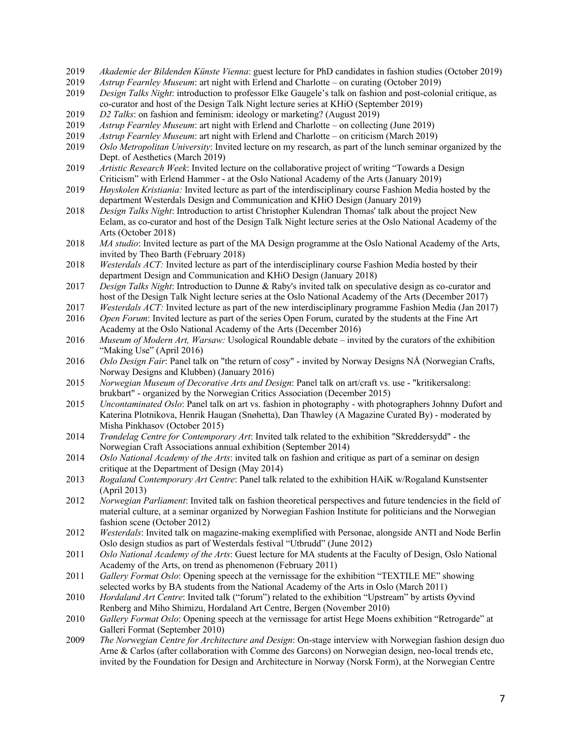- 2019 *Akademie der Bildenden Künste Vienna*: guest lecture for PhD candidates in fashion studies (October 2019)
- 2019 *Astrup Fearnley Museum*: art night with Erlend and Charlotte on curating (October 2019)
- 2019 *Design Talks Night*: introduction to professor Elke Gaugele's talk on fashion and post-colonial critique, as co-curator and host of the Design Talk Night lecture series at KHiO (September 2019)
- 2019 *D2 Talks*: on fashion and feminism: ideology or marketing? (August 2019)
- 2019 *Astrup Fearnley Museum*: art night with Erlend and Charlotte on collecting (June 2019)
- 2019 *Astrup Fearnley Museum*: art night with Erlend and Charlotte on criticism (March 2019)
- 2019 *Oslo Metropolitan University*: Invited lecture on my research, as part of the lunch seminar organized by the Dept. of Aesthetics (March 2019)
- 2019 *Artistic Research Week*: Invited lecture on the collaborative project of writing "Towards a Design Criticism" with Erlend Hammer - at the Oslo National Academy of the Arts (January 2019)
- 2019 *Høyskolen Kristiania:* Invited lecture as part of the interdisciplinary course Fashion Media hosted by the department Westerdals Design and Communication and KHiO Design (January 2019)
- 2018 *Design Talks Night*: Introduction to artist Christopher Kulendran Thomas' talk about the project New Eelam, as co-curator and host of the Design Talk Night lecture series at the Oslo National Academy of the Arts (October 2018)
- 2018 *MA studio*: Invited lecture as part of the MA Design programme at the Oslo National Academy of the Arts, invited by Theo Barth (February 2018)
- 2018 *Westerdals ACT:* Invited lecture as part of the interdisciplinary course Fashion Media hosted by their department Design and Communication and KHiO Design (January 2018)
- 2017 *Design Talks Night*: Introduction to Dunne & Raby's invited talk on speculative design as co-curator and host of the Design Talk Night lecture series at the Oslo National Academy of the Arts (December 2017)
- 2017 *Westerdals ACT:* Invited lecture as part of the new interdisciplinary programme Fashion Media (Jan 2017)
- 2016 *Open Forum*: Invited lecture as part of the series Open Forum, curated by the students at the Fine Art Academy at the Oslo National Academy of the Arts (December 2016)
- 2016 *Museum of Modern Art, Warsaw:* Usological Roundable debate invited by the curators of the exhibition "Making Use" (April 2016)
- 2016 *Oslo Design Fair*: Panel talk on "the return of cosy" invited by Norway Designs NÅ (Norwegian Crafts, Norway Designs and Klubben) (January 2016)
- 2015 *Norwegian Museum of Decorative Arts and Design*: Panel talk on art/craft vs. use "kritikersalong: brukbart" - organized by the Norwegian Critics Association (December 2015)
- 2015 *Uncontaminated Oslo*: Panel talk on art vs. fashion in photography with photographers Johnny Dufort and Katerina Plotnikova, Henrik Haugan (Snøhetta), Dan Thawley (A Magazine Curated By) - moderated by Misha Pinkhasov (October 2015)
- 2014 *Trøndelag Centre for Contemporary Art*: Invited talk related to the exhibition "Skreddersydd" the Norwegian Craft Associations annual exhibition (September 2014)
- 2014 *Oslo National Academy of the Arts*: invited talk on fashion and critique as part of a seminar on design critique at the Department of Design (May 2014)
- 2013 *Rogaland Contemporary Art Centre*: Panel talk related to the exhibition HAiK w/Rogaland Kunstsenter (April 2013)
- 2012 *Norwegian Parliament*: Invited talk on fashion theoretical perspectives and future tendencies in the field of material culture, at a seminar organized by Norwegian Fashion Institute for politicians and the Norwegian fashion scene (October 2012)
- 2012 *Westerdals*: Invited talk on magazine-making exemplified with Personae, alongside ANTI and Node Berlin Oslo design studios as part of Westerdals festival "Utbrudd" (June 2012)
- 2011 *Oslo National Academy of the Arts*: Guest lecture for MA students at the Faculty of Design, Oslo National Academy of the Arts, on trend as phenomenon (February 2011)
- 2011 *Gallery Format Oslo*: Opening speech at the vernissage for the exhibition "TEXTILE ME" showing selected works by BA students from the National Academy of the Arts in Oslo (March 2011)
- 2010 *Hordaland Art Centre*: Invited talk ("forum") related to the exhibition "Upstream" by artists Øyvind Renberg and Miho Shimizu, Hordaland Art Centre, Bergen (November 2010)
- 2010 *Gallery Format Oslo*: Opening speech at the vernissage for artist Hege Moens exhibition "Retrogarde" at Galleri Format (September 2010)
- 2009 *The Norwegian Centre for Architecture and Design*: On-stage interview with Norwegian fashion design duo Arne & Carlos (after collaboration with Comme des Garcons) on Norwegian design, neo-local trends etc, invited by the Foundation for Design and Architecture in Norway (Norsk Form), at the Norwegian Centre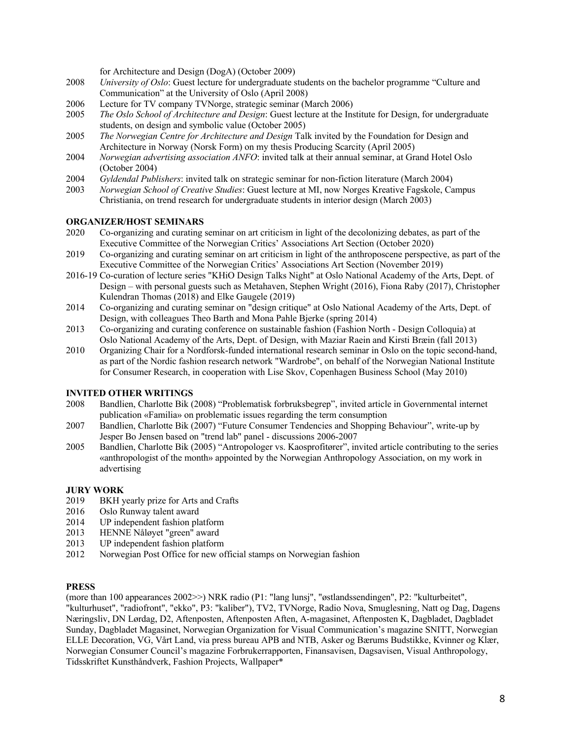for Architecture and Design (DogA) (October 2009)

- 2008 *University of Oslo*: Guest lecture for undergraduate students on the bachelor programme "Culture and Communication" at the University of Oslo (April 2008)
- 2006 Lecture for TV company TVNorge, strategic seminar (March 2006)
- 2005 *The Oslo School of Architecture and Design*: Guest lecture at the Institute for Design, for undergraduate students, on design and symbolic value (October 2005)
- 2005 *The Norwegian Centre for Architecture and Design* Talk invited by the Foundation for Design and Architecture in Norway (Norsk Form) on my thesis Producing Scarcity (April 2005)
- 2004 *Norwegian advertising association ANFO*: invited talk at their annual seminar, at Grand Hotel Oslo (October 2004)
- 2004 *Gyldendal Publishers*: invited talk on strategic seminar for non-fiction literature (March 2004)
- 2003 *Norwegian School of Creative Studies*: Guest lecture at MI, now Norges Kreative Fagskole, Campus Christiania, on trend research for undergraduate students in interior design (March 2003)

## **ORGANIZER/HOST SEMINARS**

- 2020 Co-organizing and curating seminar on art criticism in light of the decolonizing debates, as part of the Executive Committee of the Norwegian Critics' Associations Art Section (October 2020)
- 2019 Co-organizing and curating seminar on art criticism in light of the anthroposcene perspective, as part of the Executive Committee of the Norwegian Critics' Associations Art Section (November 2019)
- 2016-19 Co-curation of lecture series "KHiO Design Talks Night" at Oslo National Academy of the Arts, Dept. of Design – with personal guests such as Metahaven, Stephen Wright (2016), Fiona Raby (2017), Christopher Kulendran Thomas (2018) and Elke Gaugele (2019)
- 2014 Co-organizing and curating seminar on "design critique" at Oslo National Academy of the Arts, Dept. of Design, with colleagues Theo Barth and Mona Pahle Bjerke (spring 2014)
- 2013 Co-organizing and curating conference on sustainable fashion (Fashion North Design Colloquia) at Oslo National Academy of the Arts, Dept. of Design, with Maziar Raein and Kirsti Bræin (fall 2013)
- 2010 Organizing Chair for a Nordforsk-funded international research seminar in Oslo on the topic second-hand, as part of the Nordic fashion research network "Wardrobe", on behalf of the Norwegian National Institute for Consumer Research, in cooperation with Lise Skov, Copenhagen Business School (May 2010)

## **INVITED OTHER WRITINGS**

- 2008 Bandlien, Charlotte Bik (2008) "Problematisk forbruksbegrep", invited article in Governmental internet publication «Familia» on problematic issues regarding the term consumption
- 2007 Bandlien, Charlotte Bik (2007) "Future Consumer Tendencies and Shopping Behaviour", write-up by Jesper Bo Jensen based on "trend lab" panel - discussions 2006-2007
- 2005 Bandlien, Charlotte Bik (2005) "Antropologer vs. Kaosprofitører", invited article contributing to the series «anthropologist of the month» appointed by the Norwegian Anthropology Association, on my work in advertising

# **JURY WORK**

- 2019 BKH yearly prize for Arts and Crafts
- 2016 Oslo Runway talent award
- 2014 UP independent fashion platform
- 2013 HENNE Nåløyet "green" award
- 2013 UP independent fashion platform
- 2012 Norwegian Post Office for new official stamps on Norwegian fashion

## **PRESS**

(more than 100 appearances 2002>>) NRK radio (P1: "lang lunsj", "østlandssendingen", P2: "kulturbeitet", "kulturhuset", "radiofront", "ekko", P3: "kaliber"), TV2, TVNorge, Radio Nova, Smuglesning, Natt og Dag, Dagens Næringsliv, DN Lørdag, D2, Aftenposten, Aftenposten Aften, A-magasinet, Aftenposten K, Dagbladet, Dagbladet Sunday, Dagbladet Magasinet, Norwegian Organization for Visual Communication's magazine SNITT, Norwegian ELLE Decoration, VG, Vårt Land, via press bureau APB and NTB, Asker og Bærums Budstikke, Kvinner og Klær, Norwegian Consumer Council's magazine Forbrukerrapporten, Finansavisen, Dagsavisen, Visual Anthropology, Tidsskriftet Kunsthåndverk, Fashion Projects, Wallpaper\*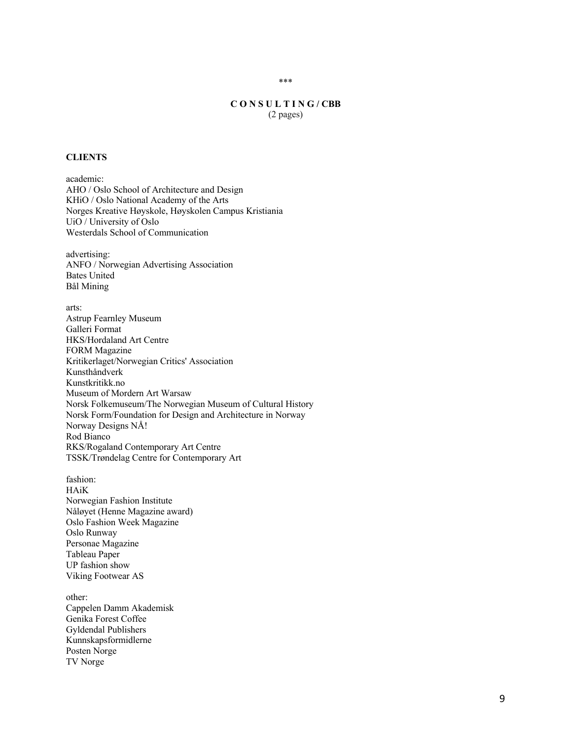## **C O N S U L T I N G / CBB** (2 pages)

## **CLIENTS**

academic: AHO / Oslo School of Architecture and Design KHiO / Oslo National Academy of the Arts Norges Kreative Høyskole, Høyskolen Campus Kristiania UiO / University of Oslo Westerdals School of Communication

advertising: ANFO / Norwegian Advertising Association Bates United Bål Mining

arts:

Astrup Fearnley Museum Galleri Format HKS/Hordaland Art Centre FORM Magazine Kritikerlaget/Norwegian Critics' Association Kunsthåndverk Kunstkritikk.no Museum of Mordern Art Warsaw Norsk Folkemuseum/The Norwegian Museum of Cultural History Norsk Form/Foundation for Design and Architecture in Norway Norway Designs NÅ! Rod Bianco RKS/Rogaland Contemporary Art Centre TSSK/Trøndelag Centre for Contemporary Art

fashion: HAiK Norwegian Fashion Institute Nåløyet (Henne Magazine award) Oslo Fashion Week Magazine Oslo Runway Personae Magazine Tableau Paper UP fashion show Viking Footwear AS

other: Cappelen Damm Akademisk Genika Forest Coffee Gyldendal Publishers Kunnskapsformidlerne Posten Norge TV Norge